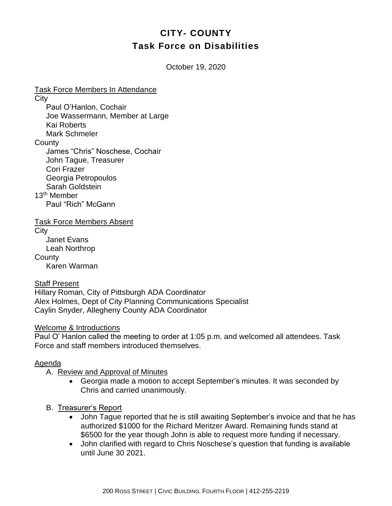# **CITY- COUNTY Task Force on Disabilities**

October 19, 2020

Task Force Members In Attendance **City** Paul O'Hanlon, Cochair Joe Wassermann, Member at Large Kai Roberts Mark Schmeler **County** James "Chris" Noschese, Cochair John Tague, Treasurer Cori Frazer Georgia Petropoulos Sarah Goldstein 13th Member Paul "Rich" McGann

Task Force Members Absent **City** Janet Evans Leah Northrop **County** 

Karen Warman

#### Staff Present

Hillary Roman, City of Pittsburgh ADA Coordinator Alex Holmes, Dept of City Planning Communications Specialist Caylin Snyder, Allegheny County ADA Coordinator

Welcome & Introductions

Paul O' Hanlon called the meeting to order at 1:05 p.m. and welcomed all attendees. Task Force and staff members introduced themselves.

### Agenda

- A. Review and Approval of Minutes
	- Georgia made a motion to accept September's minutes. It was seconded by Chris and carried unanimously.
- B. Treasurer's Report
	- John Tague reported that he is still awaiting September's invoice and that he has authorized \$1000 for the Richard Meritzer Award. Remaining funds stand at \$6500 for the year though John is able to request more funding if necessary.
	- John clarified with regard to Chris Noschese's question that funding is available until June 30 2021.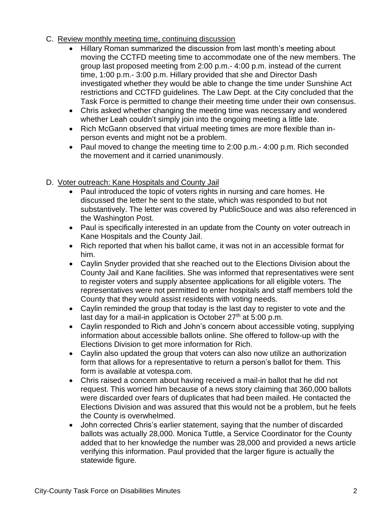### C. Review monthly meeting time, continuing discussion

- Hillary Roman summarized the discussion from last month's meeting about moving the CCTFD meeting time to accommodate one of the new members. The group last proposed meeting from 2:00 p.m.- 4:00 p.m. instead of the current time, 1:00 p.m.- 3:00 p.m. Hillary provided that she and Director Dash investigated whether they would be able to change the time under Sunshine Act restrictions and CCTFD guidelines. The Law Dept. at the City concluded that the Task Force is permitted to change their meeting time under their own consensus.
- Chris asked whether changing the meeting time was necessary and wondered whether Leah couldn't simply join into the ongoing meeting a little late.
- Rich McGann observed that virtual meeting times are more flexible than inperson events and might not be a problem.
- Paul moved to change the meeting time to 2:00 p.m.- 4:00 p.m. Rich seconded the movement and it carried unanimously.

### D. Voter outreach: Kane Hospitals and County Jail

- Paul introduced the topic of voters rights in nursing and care homes. He discussed the letter he sent to the state, which was responded to but not substantively. The letter was covered by PublicSouce and was also referenced in the Washington Post.
- Paul is specifically interested in an update from the County on voter outreach in Kane Hospitals and the County Jail.
- Rich reported that when his ballot came, it was not in an accessible format for him.
- Caylin Snyder provided that she reached out to the Elections Division about the County Jail and Kane facilities. She was informed that representatives were sent to register voters and supply absentee applications for all eligible voters. The representatives were not permitted to enter hospitals and staff members told the County that they would assist residents with voting needs.
- Caylin reminded the group that today is the last day to register to vote and the last day for a mail-in application is October  $27<sup>th</sup>$  at 5:00 p.m.
- Caylin responded to Rich and John's concern about accessible voting, supplying information about accessible ballots online. She offered to follow-up with the Elections Division to get more information for Rich.
- Caylin also updated the group that voters can also now utilize an authorization form that allows for a representative to return a person's ballot for them. This form is available at votespa.com.
- Chris raised a concern about having received a mail-in ballot that he did not request. This worried him because of a news story claiming that 360,000 ballots were discarded over fears of duplicates that had been mailed. He contacted the Elections Division and was assured that this would not be a problem, but he feels the County is overwhelmed.
- John corrected Chris's earlier statement, saying that the number of discarded ballots was actually 28,000. Monica Tuttle, a Service Coordinator for the County added that to her knowledge the number was 28,000 and provided a news article verifying this information. Paul provided that the larger figure is actually the statewide figure.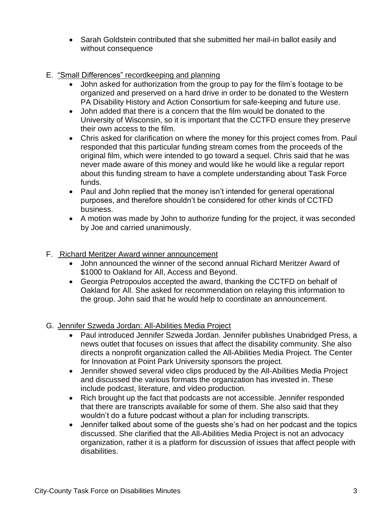- Sarah Goldstein contributed that she submitted her mail-in ballot easily and without consequence
- E. "Small Differences" recordkeeping and planning
	- John asked for authorization from the group to pay for the film's footage to be organized and preserved on a hard drive in order to be donated to the Western PA Disability History and Action Consortium for safe-keeping and future use.
	- John added that there is a concern that the film would be donated to the University of Wisconsin, so it is important that the CCTFD ensure they preserve their own access to the film.
	- Chris asked for clarification on where the money for this project comes from. Paul responded that this particular funding stream comes from the proceeds of the original film, which were intended to go toward a sequel. Chris said that he was never made aware of this money and would like he would like a regular report about this funding stream to have a complete understanding about Task Force funds.
	- Paul and John replied that the money isn't intended for general operational purposes, and therefore shouldn't be considered for other kinds of CCTFD business.
	- A motion was made by John to authorize funding for the project, it was seconded by Joe and carried unanimously.
- F. Richard Meritzer Award winner announcement
	- John announced the winner of the second annual Richard Meritzer Award of \$1000 to Oakland for All, Access and Beyond.
	- Georgia Petropoulos accepted the award, thanking the CCTFD on behalf of Oakland for All. She asked for recommendation on relaying this information to the group. John said that he would help to coordinate an announcement.
- G. Jennifer Szweda Jordan: All-Abilities Media Project
	- Paul introduced Jennifer Szweda Jordan. Jennifer publishes Unabridged Press, a news outlet that focuses on issues that affect the disability community. She also directs a nonprofit organization called the All-Abilities Media Project. The Center for Innovation at Point Park University sponsors the project.
	- Jennifer showed several video clips produced by the All-Abilities Media Project and discussed the various formats the organization has invested in. These include podcast, literature, and video production.
	- Rich brought up the fact that podcasts are not accessible. Jennifer responded that there are transcripts available for some of them. She also said that they wouldn't do a future podcast without a plan for including transcripts.
	- Jennifer talked about some of the guests she's had on her podcast and the topics discussed. She clarified that the All-Abilities Media Project is not an advocacy organization, rather it is a platform for discussion of issues that affect people with disabilities.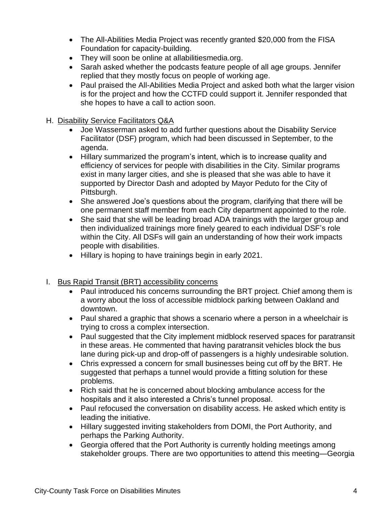- The All-Abilities Media Project was recently granted \$20,000 from the FISA Foundation for capacity-building.
- They will soon be online at allabilitiesmedia.org.
- Sarah asked whether the podcasts feature people of all age groups. Jennifer replied that they mostly focus on people of working age.
- Paul praised the All-Abilities Media Project and asked both what the larger vision is for the project and how the CCTFD could support it. Jennifer responded that she hopes to have a call to action soon.

## H. Disability Service Facilitators Q&A

- Joe Wasserman asked to add further questions about the Disability Service Facilitator (DSF) program, which had been discussed in September, to the agenda.
- Hillary summarized the program's intent, which is to increase quality and efficiency of services for people with disabilities in the City. Similar programs exist in many larger cities, and she is pleased that she was able to have it supported by Director Dash and adopted by Mayor Peduto for the City of Pittsburgh.
- She answered Joe's questions about the program, clarifying that there will be one permanent staff member from each City department appointed to the role.
- She said that she will be leading broad ADA trainings with the larger group and then individualized trainings more finely geared to each individual DSF's role within the City. All DSFs will gain an understanding of how their work impacts people with disabilities.
- Hillary is hoping to have trainings begin in early 2021.
- I. Bus Rapid Transit (BRT) accessibility concerns
	- Paul introduced his concerns surrounding the BRT project. Chief among them is a worry about the loss of accessible midblock parking between Oakland and downtown.
	- Paul shared a graphic that shows a scenario where a person in a wheelchair is trying to cross a complex intersection.
	- Paul suggested that the City implement midblock reserved spaces for paratransit in these areas. He commented that having paratransit vehicles block the bus lane during pick-up and drop-off of passengers is a highly undesirable solution.
	- Chris expressed a concern for small businesses being cut off by the BRT. He suggested that perhaps a tunnel would provide a fitting solution for these problems.
	- Rich said that he is concerned about blocking ambulance access for the hospitals and it also interested a Chris's tunnel proposal.
	- Paul refocused the conversation on disability access. He asked which entity is leading the initiative.
	- Hillary suggested inviting stakeholders from DOMI, the Port Authority, and perhaps the Parking Authority.
	- Georgia offered that the Port Authority is currently holding meetings among stakeholder groups. There are two opportunities to attend this meeting—Georgia